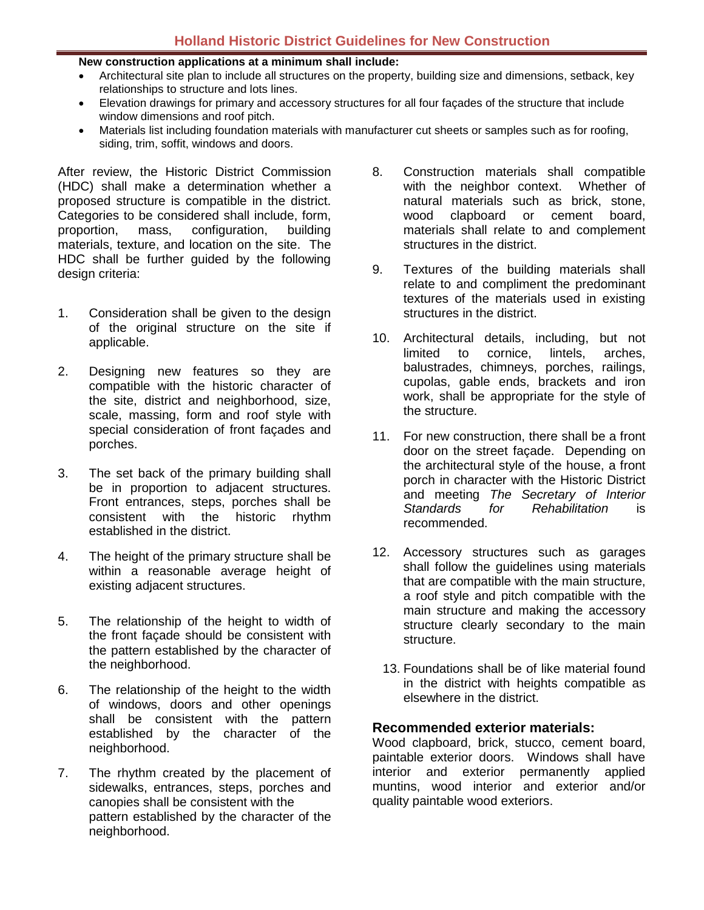#### **New construction applications at a minimum shall include:**

- Architectural site plan to include all structures on the property, building size and dimensions, setback, key relationships to structure and lots lines.
- Elevation drawings for primary and accessory structures for all four façades of the structure that include window dimensions and roof pitch.
- Materials list including foundation materials with manufacturer cut sheets or samples such as for roofing, siding, trim, soffit, windows and doors.

After review, the Historic District Commission (HDC) shall make a determination whether a proposed structure is compatible in the district. Categories to be considered shall include, form, proportion, mass, configuration, building materials, texture, and location on the site. The HDC shall be further guided by the following design criteria:

- 1. Consideration shall be given to the design of the original structure on the site if applicable.
- 2. Designing new features so they are compatible with the historic character of the site, district and neighborhood, size, scale, massing, form and roof style with special consideration of front façades and porches.
- 3. The set back of the primary building shall be in proportion to adjacent structures. Front entrances, steps, porches shall be consistent with the historic rhythm established in the district.
- 4. The height of the primary structure shall be within a reasonable average height of existing adjacent structures.
- 5. The relationship of the height to width of the front façade should be consistent with the pattern established by the character of the neighborhood.
- 6. The relationship of the height to the width of windows, doors and other openings shall be consistent with the pattern established by the character of the neighborhood.
- 7. The rhythm created by the placement of sidewalks, entrances, steps, porches and canopies shall be consistent with the pattern established by the character of the neighborhood.
- 8. Construction materials shall compatible<br>with the neighbor context. Whether of with the neighbor context. natural materials such as brick, stone, wood clapboard or cement board, materials shall relate to and complement structures in the district.
- 9. Textures of the building materials shall relate to and compliment the predominant textures of the materials used in existing structures in the district.
- 10. Architectural details, including, but not limited to cornice, lintels, arches, balustrades, chimneys, porches, railings, cupolas, gable ends, brackets and iron work, shall be appropriate for the style of the structure.
- 11. For new construction, there shall be a front door on the street façade. Depending on the architectural style of the house, a front porch in character with the Historic District and meeting *The Secretary of Interior Standards for Rehabilitation* is recommended.
- 12. Accessory structures such as garages shall follow the guidelines using materials that are compatible with the main structure, a roof style and pitch compatible with the main structure and making the accessory structure clearly secondary to the main structure.
	- 13. Foundations shall be of like material found in the district with heights compatible as elsewhere in the district.

### **Recommended exterior materials:**

Wood clapboard, brick, stucco, cement board, paintable exterior doors. Windows shall have interior and exterior permanently applied muntins, wood interior and exterior and/or quality paintable wood exteriors.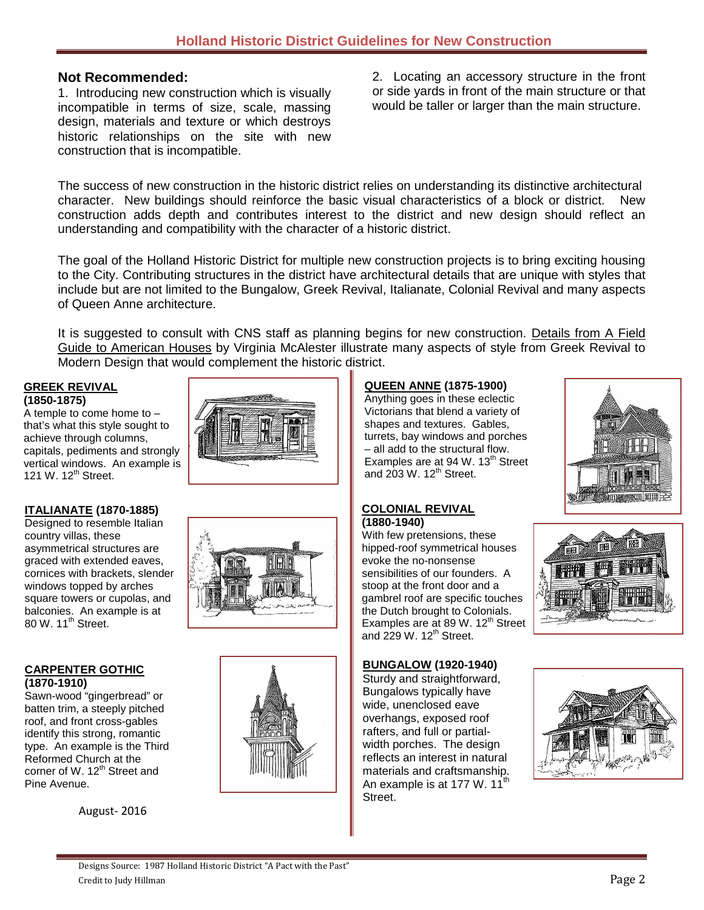## **Not Recommended:**

1. Introducing new construction which is visually incompatible in terms of size, scale, massing design, materials and texture or which destroys historic relationships on the site with new construction that is incompatible.

2. Locating an accessory structure in the front or side yards in front of the main structure or that would be taller or larger than the main structure.

The success of new construction in the historic district relies on understanding its distinctive architectural character. New buildings should reinforce the basic visual characteristics of a block or district. New construction adds depth and contributes interest to the district and new design should reflect an understanding and compatibility with the character of a historic district.

The goal of the Holland Historic District for multiple new construction projects is to bring exciting housing to the City. Contributing structures in the district have architectural details that are unique with styles that include but are not limited to the Bungalow, Greek Revival, Italianate, Colonial Revival and many aspects of Queen Anne architecture.

It is suggested to consult with CNS staff as planning begins for new construction. Details from A Field Guide to American Houses by Virginia McAlester illustrate many aspects of style from Greek Revival to Modern Design that would complement the historic district.

## **GREEK REVIVAL (1850-1875)**

A temple to come home to – that's what this style sought to achieve through columns, capitals, pediments and strongly vertical windows. An example is 121 W. 12<sup>th</sup> Street.



#### **ITALIANATE (1870-1885)**

Designed to resemble Italian country villas, these asymmetrical structures are graced with extended eaves, cornices with brackets, slender windows topped by arches square towers or cupolas, and balconies. An example is at 80 W. 11<sup>th</sup> Street.

#### **CARPENTER GOTHIC (1870-1910)**

Sawn-wood "gingerbread" or batten trim, a steeply pitched roof, and front cross-gables identify this strong, romantic type. An example is the Third Reformed Church at the corner of W. 12<sup>th</sup> Street and Pine Avenue.

August- 2016





## **QUEEN ANNE (1875-1900)**

Anything goes in these eclectic Victorians that blend a variety of shapes and textures. Gables, turrets, bay windows and porches – all add to the structural flow. Examples are at 94 W.  $13<sup>th</sup>$  Street and  $203$  W.  $12^{th}$  Street.



#### **COLONIAL REVIVAL (1880-1940)**

With few pretensions, these hipped-roof symmetrical houses evoke the no-nonsense sensibilities of our founders. A stoop at the front door and a gambrel roof are specific touches the Dutch brought to Colonials. Examples are at 89 W.  $12^{th}$  Street and  $229 \text{ W}$ . 12<sup>th</sup> Street.



#### **BUNGALOW (1920-1940)**

Sturdy and straightforward, Bungalows typically have wide, unenclosed eave overhangs, exposed roof rafters, and full or partialwidth porches. The design reflects an interest in natural materials and craftsmanship. An example is at 177 W.  $11^{th}$ Street.